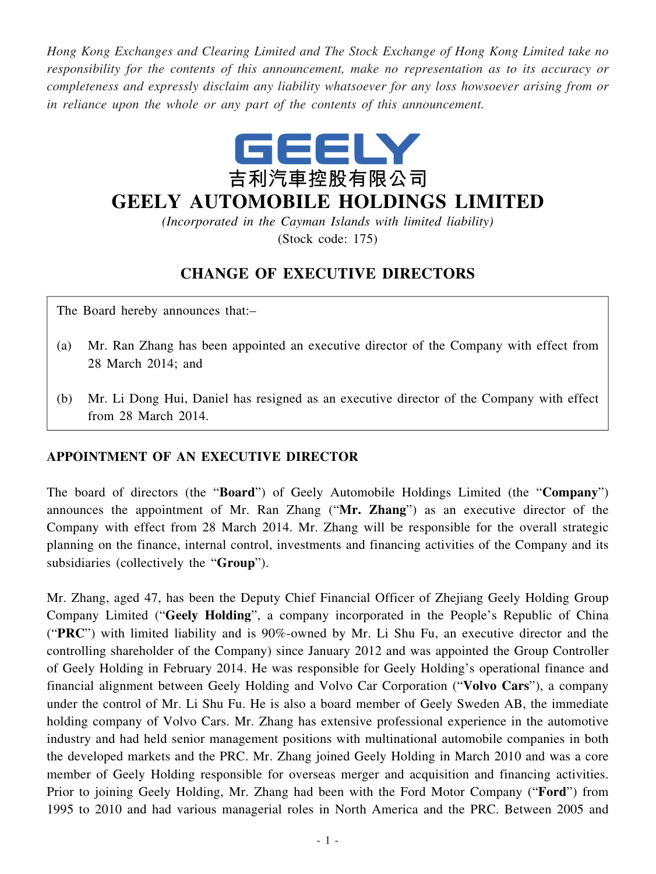*Hong Kong Exchanges and Clearing Limited and The Stock Exchange of Hong Kong Limited take no responsibility for the contents of this announcement, make no representation as to its accuracy or completeness and expressly disclaim any liability whatsoever for any loss howsoever arising from or in reliance upon the whole or any part of the contents of this announcement.*



## **GEELY AUTOMOBILE HOLDINGS LIMITED**

*(Incorporated in the Cayman Islands with limited liability)* (Stock code: 175)

## **CHANGE OF EXECUTIVE DIRECTORS**

The Board hereby announces that:–

- (a) Mr. Ran Zhang has been appointed an executive director of the Company with effect from 28 March 2014; and
- (b) Mr. Li Dong Hui, Daniel has resigned as an executive director of the Company with effect from 28 March 2014.

## **APPOINTMENT OF AN EXECUTIVE DIRECTOR**

The board of directors (the "**Board**") of Geely Automobile Holdings Limited (the "**Company**") announces the appointment of Mr. Ran Zhang ("**Mr. Zhang**") as an executive director of the Company with effect from 28 March 2014. Mr. Zhang will be responsible for the overall strategic planning on the finance, internal control, investments and financing activities of the Company and its subsidiaries (collectively the "**Group**").

Mr. Zhang, aged 47, has been the Deputy Chief Financial Officer of Zhejiang Geely Holding Group Company Limited ("**Geely Holding**", a company incorporated in the People's Republic of China ("**PRC**") with limited liability and is 90%-owned by Mr. Li Shu Fu, an executive director and the controlling shareholder of the Company) since January 2012 and was appointed the Group Controller of Geely Holding in February 2014. He was responsible for Geely Holding's operational finance and financial alignment between Geely Holding and Volvo Car Corporation ("**Volvo Cars**"), a company under the control of Mr. Li Shu Fu. He is also a board member of Geely Sweden AB, the immediate holding company of Volvo Cars. Mr. Zhang has extensive professional experience in the automotive industry and had held senior management positions with multinational automobile companies in both the developed markets and the PRC. Mr. Zhang joined Geely Holding in March 2010 and was a core member of Geely Holding responsible for overseas merger and acquisition and financing activities. Prior to joining Geely Holding, Mr. Zhang had been with the Ford Motor Company ("**Ford**") from 1995 to 2010 and had various managerial roles in North America and the PRC. Between 2005 and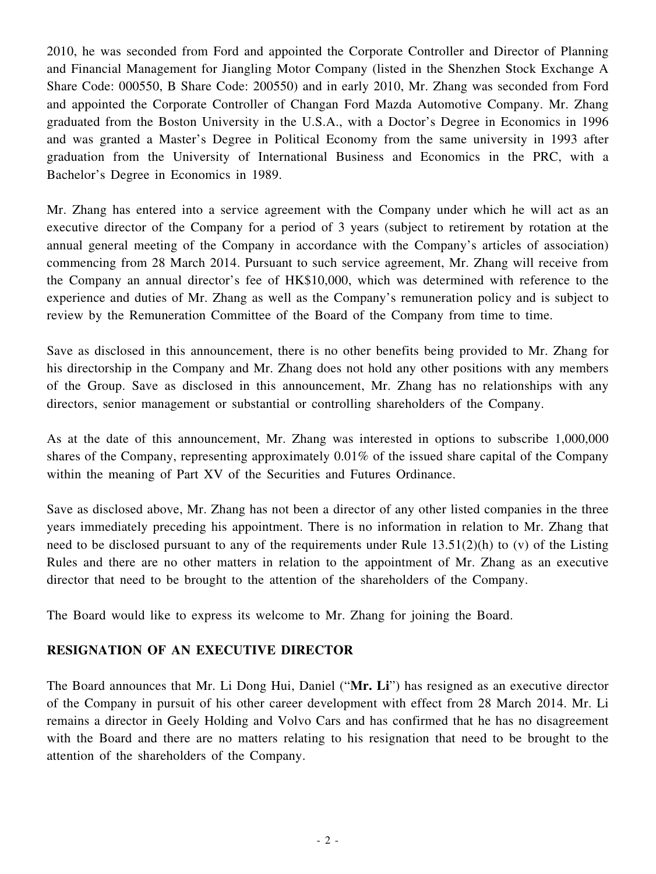2010, he was seconded from Ford and appointed the Corporate Controller and Director of Planning and Financial Management for Jiangling Motor Company (listed in the Shenzhen Stock Exchange A Share Code: 000550, B Share Code: 200550) and in early 2010, Mr. Zhang was seconded from Ford and appointed the Corporate Controller of Changan Ford Mazda Automotive Company. Mr. Zhang graduated from the Boston University in the U.S.A., with a Doctor's Degree in Economics in 1996 and was granted a Master's Degree in Political Economy from the same university in 1993 after graduation from the University of International Business and Economics in the PRC, with a Bachelor's Degree in Economics in 1989.

Mr. Zhang has entered into a service agreement with the Company under which he will act as an executive director of the Company for a period of 3 years (subject to retirement by rotation at the annual general meeting of the Company in accordance with the Company's articles of association) commencing from 28 March 2014. Pursuant to such service agreement, Mr. Zhang will receive from the Company an annual director's fee of HK\$10,000, which was determined with reference to the experience and duties of Mr. Zhang as well as the Company's remuneration policy and is subject to review by the Remuneration Committee of the Board of the Company from time to time.

Save as disclosed in this announcement, there is no other benefits being provided to Mr. Zhang for his directorship in the Company and Mr. Zhang does not hold any other positions with any members of the Group. Save as disclosed in this announcement, Mr. Zhang has no relationships with any directors, senior management or substantial or controlling shareholders of the Company.

As at the date of this announcement, Mr. Zhang was interested in options to subscribe 1,000,000 shares of the Company, representing approximately 0.01% of the issued share capital of the Company within the meaning of Part XV of the Securities and Futures Ordinance.

Save as disclosed above, Mr. Zhang has not been a director of any other listed companies in the three years immediately preceding his appointment. There is no information in relation to Mr. Zhang that need to be disclosed pursuant to any of the requirements under Rule 13.51(2)(h) to (v) of the Listing Rules and there are no other matters in relation to the appointment of Mr. Zhang as an executive director that need to be brought to the attention of the shareholders of the Company.

The Board would like to express its welcome to Mr. Zhang for joining the Board.

## **RESIGNATION OF AN EXECUTIVE DIRECTOR**

The Board announces that Mr. Li Dong Hui, Daniel ("**Mr. Li**") has resigned as an executive director of the Company in pursuit of his other career development with effect from 28 March 2014. Mr. Li remains a director in Geely Holding and Volvo Cars and has confirmed that he has no disagreement with the Board and there are no matters relating to his resignation that need to be brought to the attention of the shareholders of the Company.